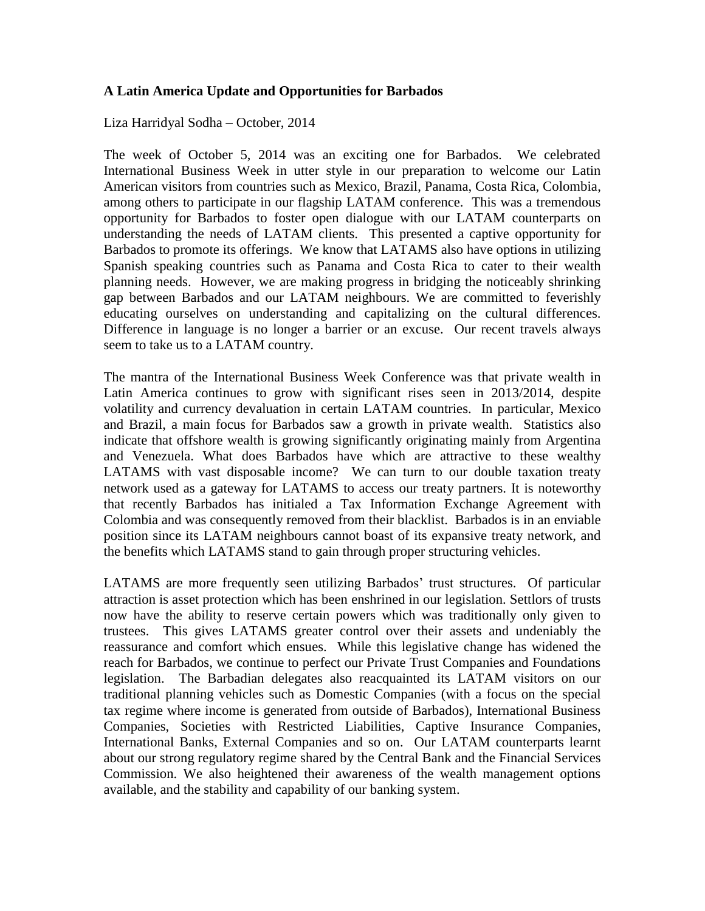## **A Latin America Update and Opportunities for Barbados**

Liza Harridyal Sodha – October, 2014

The week of October 5, 2014 was an exciting one for Barbados. We celebrated International Business Week in utter style in our preparation to welcome our Latin American visitors from countries such as Mexico, Brazil, Panama, Costa Rica, Colombia, among others to participate in our flagship LATAM conference. This was a tremendous opportunity for Barbados to foster open dialogue with our LATAM counterparts on understanding the needs of LATAM clients. This presented a captive opportunity for Barbados to promote its offerings. We know that LATAMS also have options in utilizing Spanish speaking countries such as Panama and Costa Rica to cater to their wealth planning needs. However, we are making progress in bridging the noticeably shrinking gap between Barbados and our LATAM neighbours. We are committed to feverishly educating ourselves on understanding and capitalizing on the cultural differences. Difference in language is no longer a barrier or an excuse. Our recent travels always seem to take us to a LATAM country.

The mantra of the International Business Week Conference was that private wealth in Latin America continues to grow with significant rises seen in 2013/2014, despite volatility and currency devaluation in certain LATAM countries. In particular, Mexico and Brazil, a main focus for Barbados saw a growth in private wealth. Statistics also indicate that offshore wealth is growing significantly originating mainly from Argentina and Venezuela. What does Barbados have which are attractive to these wealthy LATAMS with vast disposable income? We can turn to our double taxation treaty network used as a gateway for LATAMS to access our treaty partners. It is noteworthy that recently Barbados has initialed a Tax Information Exchange Agreement with Colombia and was consequently removed from their blacklist. Barbados is in an enviable position since its LATAM neighbours cannot boast of its expansive treaty network, and the benefits which LATAMS stand to gain through proper structuring vehicles.

LATAMS are more frequently seen utilizing Barbados' trust structures. Of particular attraction is asset protection which has been enshrined in our legislation. Settlors of trusts now have the ability to reserve certain powers which was traditionally only given to trustees. This gives LATAMS greater control over their assets and undeniably the reassurance and comfort which ensues. While this legislative change has widened the reach for Barbados, we continue to perfect our Private Trust Companies and Foundations legislation. The Barbadian delegates also reacquainted its LATAM visitors on our traditional planning vehicles such as Domestic Companies (with a focus on the special tax regime where income is generated from outside of Barbados), International Business Companies, Societies with Restricted Liabilities, Captive Insurance Companies, International Banks, External Companies and so on. Our LATAM counterparts learnt about our strong regulatory regime shared by the Central Bank and the Financial Services Commission. We also heightened their awareness of the wealth management options available, and the stability and capability of our banking system.